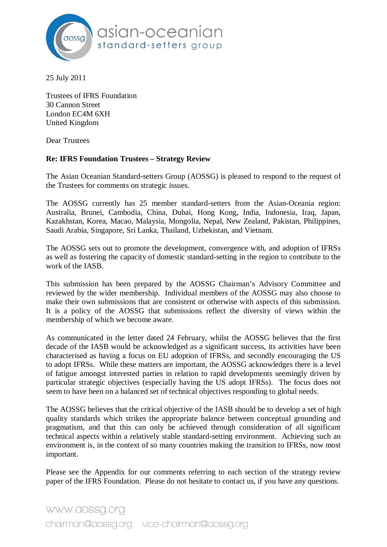

25 July 2011

Trustees of IFRS Foundation 30 Cannon Street London EC4M 6XH United Kingdom

Dear Trustees

## **Re: IFRS Foundation Trustees – Strategy Review**

The Asian Oceanian Standard-setters Group (AOSSG) is pleased to respond to the request of the Trustees for comments on strategic issues.

The AOSSG currently has 25 member standard-setters from the Asian-Oceania region: Australia, Brunei, Cambodia, China, Dubai, Hong Kong, India, Indonesia, Iraq, Japan, Kazakhstan, Korea, Macao, Malaysia, Mongolia, Nepal, New Zealand, Pakistan, Philippines, Saudi Arabia, Singapore, Sri Lanka, Thailand, Uzbekistan, and Vietnam.

The AOSSG sets out to promote the development, convergence with, and adoption of IFRSs as well as fostering the capacity of domestic standard-setting in the region to contribute to the work of the IASB.

This submission has been prepared by the AOSSG Chairman's Advisory Committee and reviewed by the wider membership. Individual members of the AOSSG may also choose to make their own submissions that are consistent or otherwise with aspects of this submission. It is a policy of the AOSSG that submissions reflect the diversity of views within the membership of which we become aware.

As communicated in the letter dated 24 February, whilst the AOSSG believes that the first decade of the IASB would be acknowledged as a significant success, its activities have been characterised as having a focus on EU adoption of IFRSs, and secondly encouraging the US to adopt IFRSs. While these matters are important, the AOSSG acknowledges there is a level of fatigue amongst interested parties in relation to rapid developments seemingly driven by particular strategic objectives (especially having the US adopt IFRSs). The focus does not seem to have been on a balanced set of technical objectives responding to global needs.

The AOSSG believes that the critical objective of the IASB should be to develop a set of high quality standards which strikes the appropriate balance between conceptual grounding and pragmatism, and that this can only be achieved through consideration of all significant technical aspects within a relatively stable standard-setting environment. Achieving such an environment is, in the context of so many countries making the transition to IFRSs, now most important.

Please see the Appendix for our comments referring to each section of the strategy review paper of the IFRS Foundation. Please do not hesitate to contact us, if you have any questions.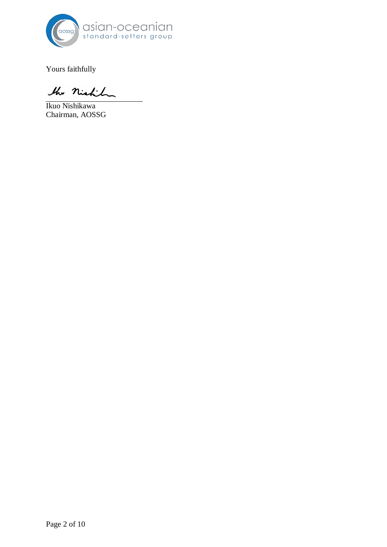

Yours faithfully

the nicht

Ikuo Nishikawa Chairman, AOSSG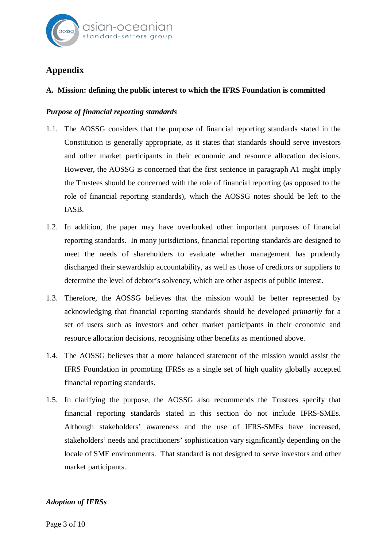

# **Appendix**

# **A. Mission: defining the public interest to which the IFRS Foundation is committed**

## *Purpose of financial reporting standards*

- 1.1. The AOSSG considers that the purpose of financial reporting standards stated in the Constitution is generally appropriate, as it states that standards should serve investors and other market participants in their economic and resource allocation decisions. However, the AOSSG is concerned that the first sentence in paragraph A1 might imply the Trustees should be concerned with the role of financial reporting (as opposed to the role of financial reporting standards), which the AOSSG notes should be left to the IASB.
- 1.2. In addition, the paper may have overlooked other important purposes of financial reporting standards. In many jurisdictions, financial reporting standards are designed to meet the needs of shareholders to evaluate whether management has prudently discharged their stewardship accountability, as well as those of creditors or suppliers to determine the level of debtor's solvency, which are other aspects of public interest.
- 1.3. Therefore, the AOSSG believes that the mission would be better represented by acknowledging that financial reporting standards should be developed *primarily* for a set of users such as investors and other market participants in their economic and resource allocation decisions, recognising other benefits as mentioned above.
- 1.4. The AOSSG believes that a more balanced statement of the mission would assist the IFRS Foundation in promoting IFRSs as a single set of high quality globally accepted financial reporting standards.
- 1.5. In clarifying the purpose, the AOSSG also recommends the Trustees specify that financial reporting standards stated in this section do not include IFRS-SMEs. Although stakeholders' awareness and the use of IFRS-SMEs have increased, stakeholders' needs and practitioners' sophistication vary significantly depending on the locale of SME environments. That standard is not designed to serve investors and other market participants.

## *Adoption of IFRSs*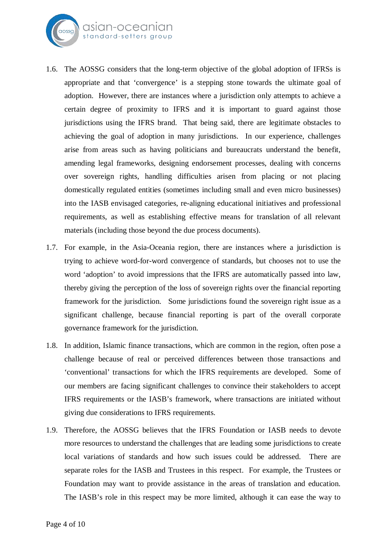

- 1.6. The AOSSG considers that the long-term objective of the global adoption of IFRSs is appropriate and that 'convergence' is a stepping stone towards the ultimate goal of adoption. However, there are instances where a jurisdiction only attempts to achieve a certain degree of proximity to IFRS and it is important to guard against those jurisdictions using the IFRS brand. That being said, there are legitimate obstacles to achieving the goal of adoption in many jurisdictions. In our experience, challenges arise from areas such as having politicians and bureaucrats understand the benefit, amending legal frameworks, designing endorsement processes, dealing with concerns over sovereign rights, handling difficulties arisen from placing or not placing domestically regulated entities (sometimes including small and even micro businesses) into the IASB envisaged categories, re-aligning educational initiatives and professional requirements, as well as establishing effective means for translation of all relevant materials (including those beyond the due process documents).
- 1.7. For example, in the Asia-Oceania region, there are instances where a jurisdiction is trying to achieve word-for-word convergence of standards, but chooses not to use the word 'adoption' to avoid impressions that the IFRS are automatically passed into law, thereby giving the perception of the loss of sovereign rights over the financial reporting framework for the jurisdiction. Some jurisdictions found the sovereign right issue as a significant challenge, because financial reporting is part of the overall corporate governance framework for the jurisdiction.
- 1.8. In addition, Islamic finance transactions, which are common in the region, often pose a challenge because of real or perceived differences between those transactions and 'conventional' transactions for which the IFRS requirements are developed. Some of our members are facing significant challenges to convince their stakeholders to accept IFRS requirements or the IASB's framework, where transactions are initiated without giving due considerations to IFRS requirements.
- 1.9. Therefore, the AOSSG believes that the IFRS Foundation or IASB needs to devote more resources to understand the challenges that are leading some jurisdictions to create local variations of standards and how such issues could be addressed. There are separate roles for the IASB and Trustees in this respect. For example, the Trustees or Foundation may want to provide assistance in the areas of translation and education. The IASB's role in this respect may be more limited, although it can ease the way to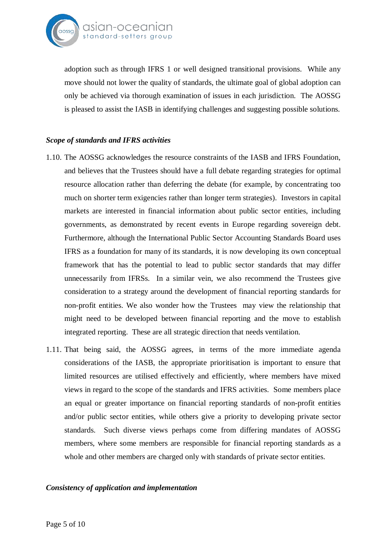

adoption such as through IFRS 1 or well designed transitional provisions. While any move should not lower the quality of standards, the ultimate goal of global adoption can only be achieved via thorough examination of issues in each jurisdiction. The AOSSG is pleased to assist the IASB in identifying challenges and suggesting possible solutions.

## *Scope of standards and IFRS activities*

- 1.10. The AOSSG acknowledges the resource constraints of the IASB and IFRS Foundation, and believes that the Trustees should have a full debate regarding strategies for optimal resource allocation rather than deferring the debate (for example, by concentrating too much on shorter term exigencies rather than longer term strategies). Investors in capital markets are interested in financial information about public sector entities, including governments, as demonstrated by recent events in Europe regarding sovereign debt. Furthermore, although the International Public Sector Accounting Standards Board uses IFRS as a foundation for many of its standards, it is now developing its own conceptual framework that has the potential to lead to public sector standards that may differ unnecessarily from IFRSs. In a similar vein, we also recommend the Trustees give consideration to a strategy around the development of financial reporting standards for non-profit entities. We also wonder how the Trustees may view the relationship that might need to be developed between financial reporting and the move to establish integrated reporting. These are all strategic direction that needs ventilation.
- 1.11. That being said, the AOSSG agrees, in terms of the more immediate agenda considerations of the IASB, the appropriate prioritisation is important to ensure that limited resources are utilised effectively and efficiently, where members have mixed views in regard to the scope of the standards and IFRS activities. Some members place an equal or greater importance on financial reporting standards of non-profit entities and/or public sector entities, while others give a priority to developing private sector standards. Such diverse views perhaps come from differing mandates of AOSSG members, where some members are responsible for financial reporting standards as a whole and other members are charged only with standards of private sector entities.

## *Consistency of application and implementation*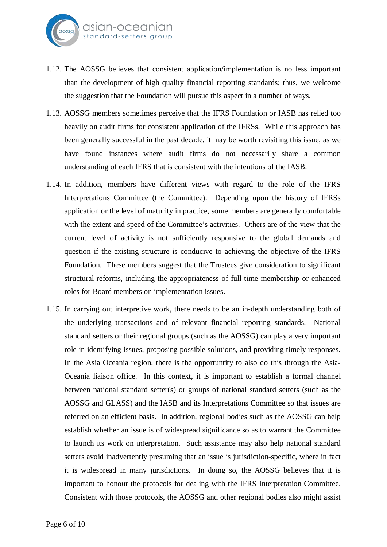

- 1.12. The AOSSG believes that consistent application/implementation is no less important than the development of high quality financial reporting standards; thus, we welcome the suggestion that the Foundation will pursue this aspect in a number of ways.
- 1.13. AOSSG members sometimes perceive that the IFRS Foundation or IASB has relied too heavily on audit firms for consistent application of the IFRSs. While this approach has been generally successful in the past decade, it may be worth revisiting this issue, as we have found instances where audit firms do not necessarily share a common understanding of each IFRS that is consistent with the intentions of the IASB.
- 1.14. In addition, members have different views with regard to the role of the IFRS Interpretations Committee (the Committee). Depending upon the history of IFRSs application or the level of maturity in practice, some members are generally comfortable with the extent and speed of the Committee's activities. Others are of the view that the current level of activity is not sufficiently responsive to the global demands and question if the existing structure is conducive to achieving the objective of the IFRS Foundation. These members suggest that the Trustees give consideration to significant structural reforms, including the appropriateness of full-time membership or enhanced roles for Board members on implementation issues.
- 1.15. In carrying out interpretive work, there needs to be an in-depth understanding both of the underlying transactions and of relevant financial reporting standards. National standard setters or their regional groups (such as the AOSSG) can play a very important role in identifying issues, proposing possible solutions, and providing timely responses. In the Asia Oceania region, there is the opportuntity to also do this through the Asia-Oceania liaison office. In this context, it is important to establish a formal channel between national standard setter(s) or groups of national standard setters (such as the AOSSG and GLASS) and the IASB and its Interpretations Committee so that issues are referred on an efficient basis. In addition, regional bodies such as the AOSSG can help establish whether an issue is of widespread significance so as to warrant the Committee to launch its work on interpretation. Such assistance may also help national standard setters avoid inadvertently presuming that an issue is jurisdiction-specific, where in fact it is widespread in many jurisdictions. In doing so, the AOSSG believes that it is important to honour the protocols for dealing with the IFRS Interpretation Committee. Consistent with those protocols, the AOSSG and other regional bodies also might assist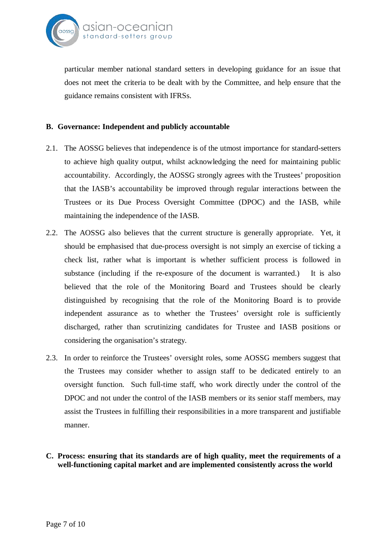

particular member national standard setters in developing guidance for an issue that does not meet the criteria to be dealt with by the Committee, and help ensure that the guidance remains consistent with IFRSs.

## **B. Governance: Independent and publicly accountable**

- 2.1. The AOSSG believes that independence is of the utmost importance for standard-setters to achieve high quality output, whilst acknowledging the need for maintaining public accountability. Accordingly, the AOSSG strongly agrees with the Trustees' proposition that the IASB's accountability be improved through regular interactions between the Trustees or its Due Process Oversight Committee (DPOC) and the IASB, while maintaining the independence of the IASB.
- 2.2. The AOSSG also believes that the current structure is generally appropriate. Yet, it should be emphasised that due-process oversight is not simply an exercise of ticking a check list, rather what is important is whether sufficient process is followed in substance (including if the re-exposure of the document is warranted.) It is also believed that the role of the Monitoring Board and Trustees should be clearly distinguished by recognising that the role of the Monitoring Board is to provide independent assurance as to whether the Trustees' oversight role is sufficiently discharged, rather than scrutinizing candidates for Trustee and IASB positions or considering the organisation's strategy.
- 2.3. In order to reinforce the Trustees' oversight roles, some AOSSG members suggest that the Trustees may consider whether to assign staff to be dedicated entirely to an oversight function. Such full-time staff, who work directly under the control of the DPOC and not under the control of the IASB members or its senior staff members, may assist the Trustees in fulfilling their responsibilities in a more transparent and justifiable manner.
- **C. Process: ensuring that its standards are of high quality, meet the requirements of a well-functioning capital market and are implemented consistently across the world**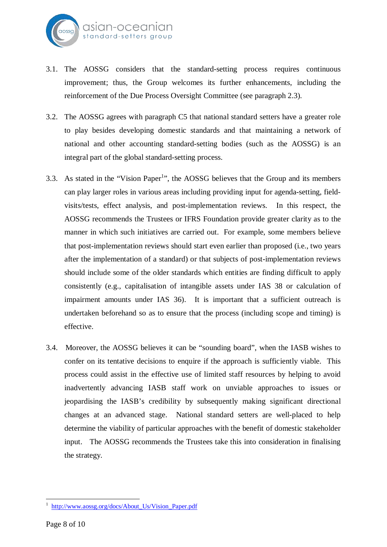

- 3.1. The AOSSG considers that the standard-setting process requires continuous improvement; thus, the Group welcomes its further enhancements, including the reinforcement of the Due Process Oversight Committee (see paragraph 2.3).
- 3.2. The AOSSG agrees with paragraph C5 that national standard setters have a greater role to play besides developing domestic standards and that maintaining a network of national and other accounting standard-setting bodies (such as the AOSSG) is an integral part of the global standard-setting process.
- 3.3. As stated in the "Vision Paper<sup>1</sup>", the AOSSG believes that the Group and its members can play larger roles in various areas including providing input for agenda-setting, fieldvisits/tests, effect analysis, and post-implementation reviews. In this respect, the AOSSG recommends the Trustees or IFRS Foundation provide greater clarity as to the manner in which such initiatives are carried out. For example, some members believe that post-implementation reviews should start even earlier than proposed (i.e., two years after the implementation of a standard) or that subjects of post-implementation reviews should include some of the older standards which entities are finding difficult to apply consistently (e.g., capitalisation of intangible assets under IAS 38 or calculation of impairment amounts under IAS 36). It is important that a sufficient outreach is undertaken beforehand so as to ensure that the process (including scope and timing) is effective.
- 3.4. Moreover, the AOSSG believes it can be "sounding board", when the IASB wishes to confer on its tentative decisions to enquire if the approach is sufficiently viable. This process could assist in the effective use of limited staff resources by helping to avoid inadvertently advancing IASB staff work on unviable approaches to issues or jeopardising the IASB's credibility by subsequently making significant directional changes at an advanced stage. National standard setters are well-placed to help determine the viability of particular approaches with the benefit of domestic stakeholder input. The AOSSG recommends the Trustees take this into consideration in finalising the strategy.

<sup>1</sup> http://www.aossg.org/docs/About\_Us/Vision\_Paper.pdf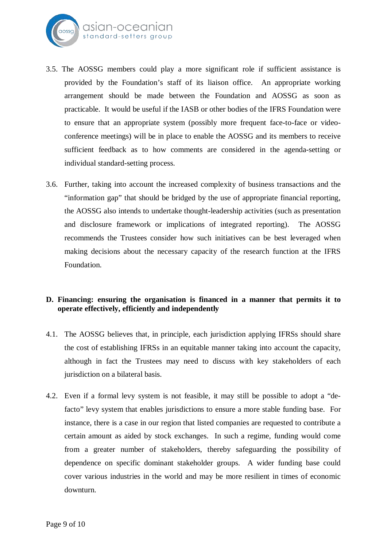

- 3.5. The AOSSG members could play a more significant role if sufficient assistance is provided by the Foundation's staff of its liaison office. An appropriate working arrangement should be made between the Foundation and AOSSG as soon as practicable. It would be useful if the IASB or other bodies of the IFRS Foundation were to ensure that an appropriate system (possibly more frequent face-to-face or videoconference meetings) will be in place to enable the AOSSG and its members to receive sufficient feedback as to how comments are considered in the agenda-setting or individual standard-setting process.
- 3.6. Further, taking into account the increased complexity of business transactions and the "information gap" that should be bridged by the use of appropriate financial reporting, the AOSSG also intends to undertake thought-leadership activities (such as presentation and disclosure framework or implications of integrated reporting). The AOSSG recommends the Trustees consider how such initiatives can be best leveraged when making decisions about the necessary capacity of the research function at the IFRS Foundation.

# **D. Financing: ensuring the organisation is financed in a manner that permits it to operate effectively, efficiently and independently**

- 4.1. The AOSSG believes that, in principle, each jurisdiction applying IFRSs should share the cost of establishing IFRSs in an equitable manner taking into account the capacity, although in fact the Trustees may need to discuss with key stakeholders of each jurisdiction on a bilateral basis.
- 4.2. Even if a formal levy system is not feasible, it may still be possible to adopt a "defacto" levy system that enables jurisdictions to ensure a more stable funding base. For instance, there is a case in our region that listed companies are requested to contribute a certain amount as aided by stock exchanges. In such a regime, funding would come from a greater number of stakeholders, thereby safeguarding the possibility of dependence on specific dominant stakeholder groups. A wider funding base could cover various industries in the world and may be more resilient in times of economic downturn.